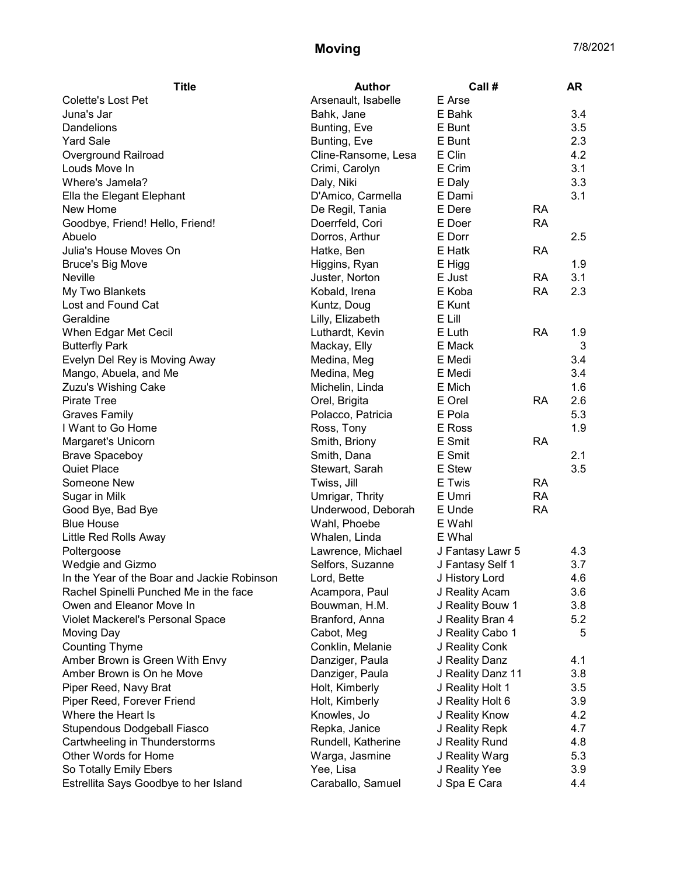## Moving 7/8/2021

| <b>Title</b>                                | <b>Author</b>       | Call #            |           | <b>AR</b> |
|---------------------------------------------|---------------------|-------------------|-----------|-----------|
| <b>Colette's Lost Pet</b>                   | Arsenault, Isabelle | E Arse            |           |           |
| Juna's Jar                                  | Bahk, Jane          | E Bahk            |           | 3.4       |
| Dandelions                                  | Bunting, Eve        | E Bunt            |           | 3.5       |
| <b>Yard Sale</b>                            | Bunting, Eve        | E Bunt            |           | 2.3       |
| Overground Railroad                         | Cline-Ransome, Lesa | E Clin            |           | 4.2       |
| Louds Move In                               | Crimi, Carolyn      | E Crim            |           | 3.1       |
| Where's Jamela?                             | Daly, Niki          | E Daly            |           | 3.3       |
| Ella the Elegant Elephant                   | D'Amico, Carmella   | E Dami            |           | 3.1       |
| New Home                                    | De Regil, Tania     | E Dere            | <b>RA</b> |           |
| Goodbye, Friend! Hello, Friend!             | Doerrfeld, Cori     | E Doer            | <b>RA</b> |           |
| Abuelo                                      | Dorros, Arthur      | E Dorr            |           | 2.5       |
| Julia's House Moves On                      | Hatke, Ben          | E Hatk            | <b>RA</b> |           |
| <b>Bruce's Big Move</b>                     | Higgins, Ryan       | E Higg            |           | 1.9       |
| <b>Neville</b>                              | Juster, Norton      | E Just            | <b>RA</b> | 3.1       |
| My Two Blankets                             | Kobald, Irena       | E Koba            | RA        | 2.3       |
| Lost and Found Cat                          | Kuntz, Doug         | E Kunt            |           |           |
| Geraldine                                   | Lilly, Elizabeth    | E Lill            |           |           |
| When Edgar Met Cecil                        | Luthardt, Kevin     | E Luth            | <b>RA</b> | 1.9       |
| <b>Butterfly Park</b>                       | Mackay, Elly        | E Mack            |           | 3         |
| Evelyn Del Rey is Moving Away               | Medina, Meg         | E Medi            |           | 3.4       |
| Mango, Abuela, and Me                       | Medina, Meg         | E Medi            |           | 3.4       |
| Zuzu's Wishing Cake                         | Michelin, Linda     | E Mich            |           | 1.6       |
| <b>Pirate Tree</b>                          | Orel, Brigita       | E Orel            | <b>RA</b> | 2.6       |
| <b>Graves Family</b>                        | Polacco, Patricia   | E Pola            |           | 5.3       |
| I Want to Go Home                           | Ross, Tony          | E Ross            |           | 1.9       |
| Margaret's Unicorn                          | Smith, Briony       | E Smit            | <b>RA</b> |           |
| <b>Brave Spaceboy</b>                       | Smith, Dana         | E Smit            |           | 2.1       |
| <b>Quiet Place</b>                          | Stewart, Sarah      | E Stew            |           | 3.5       |
| Someone New                                 | Twiss, Jill         | E Twis            | <b>RA</b> |           |
| Sugar in Milk                               | Umrigar, Thrity     | E Umri            | <b>RA</b> |           |
| Good Bye, Bad Bye                           | Underwood, Deborah  | E Unde            | <b>RA</b> |           |
| <b>Blue House</b>                           | Wahl, Phoebe        | E Wahl            |           |           |
| Little Red Rolls Away                       | Whalen, Linda       | E Whal            |           |           |
| Poltergoose                                 | Lawrence, Michael   | J Fantasy Lawr 5  |           | 4.3       |
| Wedgie and Gizmo                            | Selfors, Suzanne    | J Fantasy Self 1  |           | 3.7       |
| In the Year of the Boar and Jackie Robinson | Lord, Bette         | J History Lord    |           | 4.6       |
| Rachel Spinelli Punched Me in the face      | Acampora, Paul      | J Reality Acam    |           | 3.6       |
| Owen and Eleanor Move In                    | Bouwman, H.M.       | J Reality Bouw 1  |           | 3.8       |
| Violet Mackerel's Personal Space            | Branford, Anna      | J Reality Bran 4  |           | 5.2       |
| Moving Day                                  | Cabot, Meg          | J Reality Cabo 1  |           | 5         |
| <b>Counting Thyme</b>                       | Conklin, Melanie    | J Reality Conk    |           |           |
| Amber Brown is Green With Envy              | Danziger, Paula     | J Reality Danz    |           | 4.1       |
| Amber Brown is On he Move                   | Danziger, Paula     | J Reality Danz 11 |           | 3.8       |
| Piper Reed, Navy Brat                       | Holt, Kimberly      | J Reality Holt 1  |           | 3.5       |
| Piper Reed, Forever Friend                  | Holt, Kimberly      | J Reality Holt 6  |           | 3.9       |
| Where the Heart Is                          | Knowles, Jo         | J Reality Know    |           | 4.2       |
| Stupendous Dodgeball Fiasco                 | Repka, Janice       | J Reality Repk    |           | 4.7       |
| Cartwheeling in Thunderstorms               | Rundell, Katherine  | J Reality Rund    |           | 4.8       |
| Other Words for Home                        | Warga, Jasmine      | J Reality Warg    |           | 5.3       |
| So Totally Emily Ebers                      | Yee, Lisa           | J Reality Yee     |           | 3.9       |
| Estrellita Says Goodbye to her Island       | Caraballo, Samuel   | J Spa E Cara      |           | 4.4       |
|                                             |                     |                   |           |           |